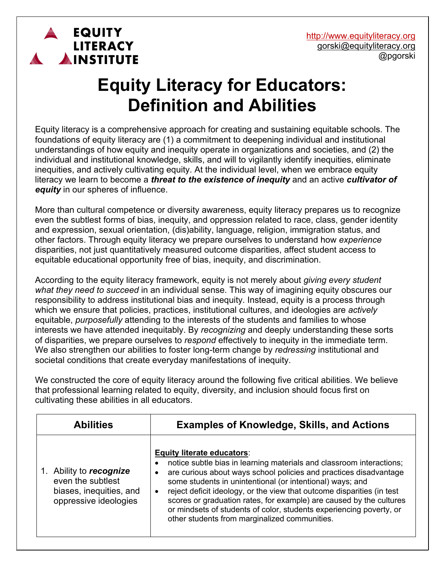http://www.equityliteracy.org gorski@equityliteracy.org @pgorski

## **Equity Literacy for Educators: Definition and Abilities**

**EQUITY** 

AINSTITUTE

**LITERACY** 

Equity literacy is a comprehensive approach for creating and sustaining equitable schools. The foundations of equity literacy are (1) a commitment to deepening individual and institutional understandings of how equity and inequity operate in organizations and societies, and (2) the individual and institutional knowledge, skills, and will to vigilantly identify inequities, eliminate inequities, and actively cultivating equity. At the individual level, when we embrace equity literacy we learn to become a *threat to the existence of inequity* and an active *cultivator of equity* in our spheres of influence.

More than cultural competence or diversity awareness, equity literacy prepares us to recognize even the subtlest forms of bias, inequity, and oppression related to race, class, gender identity and expression, sexual orientation, (dis)ability, language, religion, immigration status, and other factors. Through equity literacy we prepare ourselves to understand how *experience* disparities, not just quantitatively measured outcome disparities, affect student access to equitable educational opportunity free of bias, inequity, and discrimination.

According to the equity literacy framework, equity is not merely about *giving every student what they need to succeed* in an individual sense. This way of imagining equity obscures our responsibility to address institutional bias and inequity. Instead, equity is a process through which we ensure that policies, practices, institutional cultures, and ideologies are *actively* equitable, *purposefully* attending to the interests of the students and families to whose interests we have attended inequitably. By *recognizing* and deeply understanding these sorts of disparities, we prepare ourselves to *respond* effectively to inequity in the immediate term. We also strengthen our abilities to foster long-term change by *redressing* institutional and societal conditions that create everyday manifestations of inequity.

We constructed the core of equity literacy around the following five critical abilities. We believe that professional learning related to equity, diversity, and inclusion should focus first on cultivating these abilities in all educators.

| <b>Abilities</b>                                                                              | <b>Examples of Knowledge, Skills, and Actions</b>                                                                                                                                                                                                                                                                                                                                                                                                                                                                                 |
|-----------------------------------------------------------------------------------------------|-----------------------------------------------------------------------------------------------------------------------------------------------------------------------------------------------------------------------------------------------------------------------------------------------------------------------------------------------------------------------------------------------------------------------------------------------------------------------------------------------------------------------------------|
| Ability to recognize<br>even the subtlest<br>biases, inequities, and<br>oppressive ideologies | <b>Equity literate educators:</b><br>notice subtle bias in learning materials and classroom interactions;<br>are curious about ways school policies and practices disadvantage<br>some students in unintentional (or intentional) ways; and<br>reject deficit ideology, or the view that outcome disparities (in test<br>$\bullet$<br>scores or graduation rates, for example) are caused by the cultures<br>or mindsets of students of color, students experiencing poverty, or<br>other students from marginalized communities. |